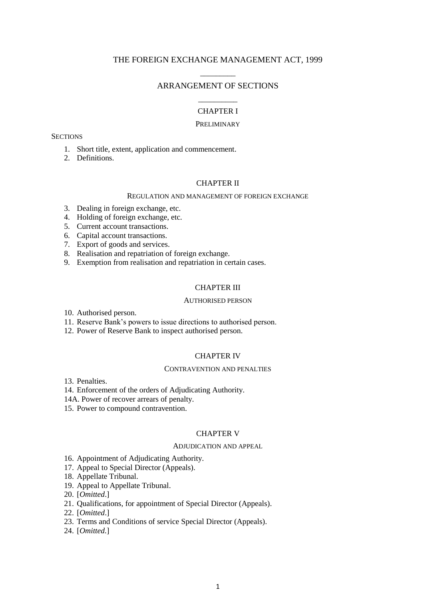# THE FOREIGN EXCHANGE MANAGEMENT ACT, 1999

# \_\_\_\_\_\_\_\_\_ ARRANGEMENT OF SECTIONS \_\_\_\_\_\_\_\_\_\_

# CHAPTER I

### PRELIMINARY

### **SECTIONS**

- 1. Short title, extent, application and commencement.
- 2. Definitions.

# CHAPTER II

#### REGULATION AND MANAGEMENT OF FOREIGN EXCHANGE

- 3. Dealing in foreign exchange, etc.
- 4. Holding of foreign exchange, etc.
- 5. Current account transactions.
- 6. Capital account transactions.
- 7. Export of goods and services.
- 8. Realisation and repatriation of foreign exchange.
- 9. Exemption from realisation and repatriation in certain cases.

# CHAPTER III

# AUTHORISED PERSON

- 10. Authorised person.
- 11. Reserve Bank's powers to issue directions to authorised person.
- 12. Power of Reserve Bank to inspect authorised person.

# CHAPTER IV

### CONTRAVENTION AND PENALTIES

- 13. Penalties.
- 14. Enforcement of the orders of Adjudicating Authority.
- 14A. Power of recover arrears of penalty.
- 15. Power to compound contravention.

# CHAPTER V

# ADJUDICATION AND APPEAL

- 16. Appointment of Adjudicating Authority.
- 17. Appeal to Special Director (Appeals).
- 18. Appellate Tribunal.
- 19. Appeal to Appellate Tribunal.
- 20. [*Omitted*.]
- 21. Qualifications, for appointment of Special Director (Appeals).
- 22. [*Omitted*.]
- 23. Terms and Conditions of service Special Director (Appeals).
- 24. [*Omitted.*]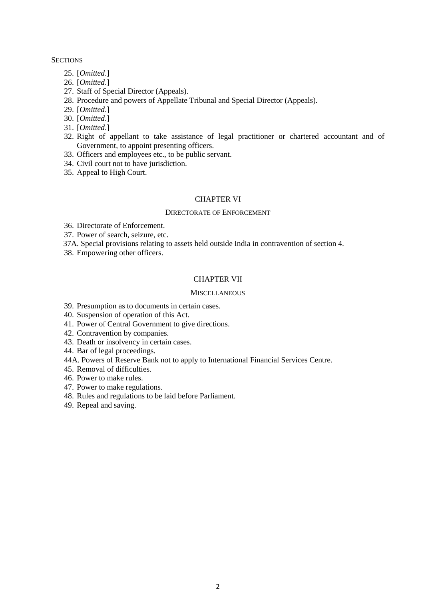# **SECTIONS**

- 25. [*Omitted*.]
- 26. [*Omitted*.]
- 27. Staff of Special Director (Appeals).
- 28. Procedure and powers of Appellate Tribunal and Special Director (Appeals).
- 29. [*Omitted*.]
- 30. [*Omitted*.]
- 31. [*Omitted*.]
- 32. Right of appellant to take assistance of legal practitioner or chartered accountant and of Government, to appoint presenting officers.
- 33. Officers and employees etc., to be public servant.
- 34. Civil court not to have jurisdiction.
- 35. Appeal to High Court.

# CHAPTER VI

### DIRECTORATE OF ENFORCEMENT

- 36. Directorate of Enforcement.
- 37. Power of search, seizure, etc.
- 37A. Special provisions relating to assets held outside India in contravention of section 4.
- 38. Empowering other officers.

# CHAPTER VII

### **MISCELLANEOUS**

- 39. Presumption as to documents in certain cases.
- 40. Suspension of operation of this Act.
- 41. Power of Central Government to give directions.
- 42. Contravention by companies.
- 43. Death or insolvency in certain cases.
- 44. Bar of legal proceedings.
- 44A. Powers of Reserve Bank not to apply to International Financial Services Centre.
- 45. Removal of difficulties.
- 46. Power to make rules.
- 47. Power to make regulations.
- 48. Rules and regulations to be laid before Parliament.
- 49. Repeal and saving.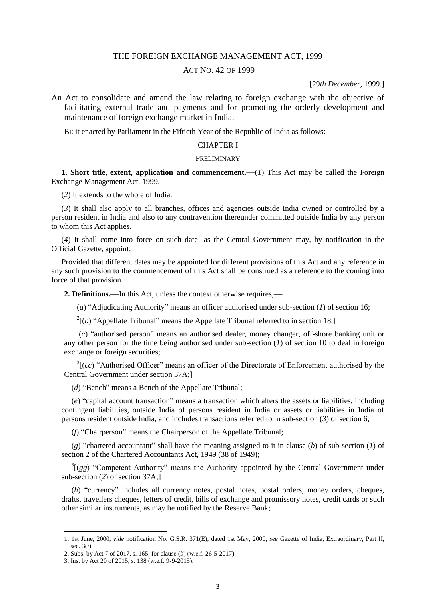# THE FOREIGN EXCHANGE MANAGEMENT ACT, 1999

# ACT NO. 42 OF 1999

[29*th December*, 1999.]

An Act to consolidate and amend the law relating to foreign exchange with the objective of facilitating external trade and payments and for promoting the orderly development and maintenance of foreign exchange market in India.

BE it enacted by Parliament in the Fiftieth Year of the Republic of India as follows:—

# CHAPTER I

#### PRELIMINARY

**1. Short title, extent, application and commencement.—**(*1*) This Act may be called the Foreign Exchange Management Act, 1999.

(*2*) It extends to the whole of India.

(*3*) It shall also apply to all branches, offices and agencies outside India owned or controlled by a person resident in India and also to any contravention thereunder committed outside India by any person to whom this Act applies.

 $(4)$  It shall come into force on such date<sup>1</sup> as the Central Government may, by notification in the Official Gazette, appoint:

Provided that different dates may be appointed for different provisions of this Act and any reference in any such provision to the commencement of this Act shall be construed as a reference to the coming into force of that provision.

**2. Definitions.—**In this Act, unless the context otherwise requires,**—**

(*a*) "Adjudicating Authority" means an officer authorised under sub-section (*1*) of section 16;

 $2^{2}$ [(*b*) "Appellate Tribunal" means the Appellate Tribunal referred to in section 18;]

(*c*) "authorised person" means an authorised dealer, money changer, off-shore banking unit or any other person for the time being authorised under sub-section (*1*) of section 10 to deal in foreign exchange or foreign securities;

 $3[(cc)$  "Authorised Officer" means an officer of the Directorate of Enforcement authorised by the Central Government under section 37A;]

(*d*) "Bench" means a Bench of the Appellate Tribunal;

(*e*) "capital account transaction" means a transaction which alters the assets or liabilities, including contingent liabilities, outside India of persons resident in India or assets or liabilities in India of persons resident outside India, and includes transactions referred to in sub-section (*3*) of section 6;

(*f*) "Chairperson" means the Chairperson of the Appellate Tribunal;

(*g*) "chartered accountant" shall have the meaning assigned to it in clause (*b*) of sub-section (*1*) of section 2 of the Chartered Accountants Act, 1949 (38 of 1949);

 $3$ [(gg) "Competent Authority" means the Authority appointed by the Central Government under sub-section (*2*) of section 37A;]

(*h*) "currency" includes all currency notes, postal notes, postal orders, money orders, cheques, drafts, travellers cheques, letters of credit, bills of exchange and promissory notes, credit cards or such other similar instruments, as may be notified by the Reserve Bank;

<sup>1. 1</sup>st June, 2000, *vide* notification No. G.S.R. 371(E), dated 1st May, 2000, *see* Gazette of India, Extraordinary, Part II, sec. 3(*i*).

2. Subs. by Act 7 of 2017, s. 165, for clause (*b*) (w.e.f. 26-5-2017).

<sup>3.</sup> Ins. by Act 20 of 2015, s. 138 (w.e.f. 9-9-2015).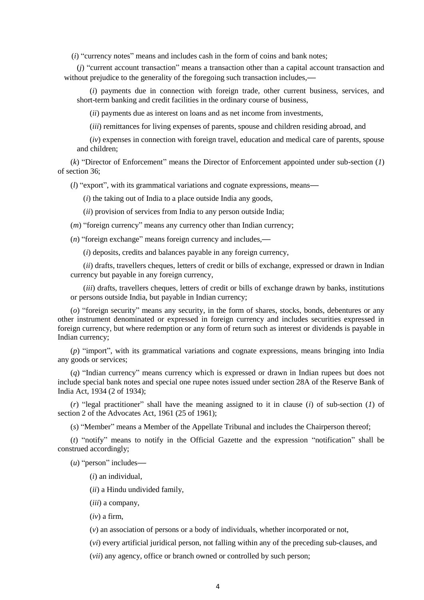(*i*) "currency notes" means and includes cash in the form of coins and bank notes;

(*j*) "current account transaction" means a transaction other than a capital account transaction and without prejudice to the generality of the foregoing such transaction includes,**—**

(*i*) payments due in connection with foreign trade, other current business, services, and short-term banking and credit facilities in the ordinary course of business,

(*ii*) payments due as interest on loans and as net income from investments,

(*iii*) remittances for living expenses of parents, spouse and children residing abroad, and

(*iv*) expenses in connection with foreign travel, education and medical care of parents, spouse and children;

(*k*) "Director of Enforcement" means the Director of Enforcement appointed under sub-section (*1*) of section 36;

(*l*) "export", with its grammatical variations and cognate expressions, means**—**

(*i*) the taking out of India to a place outside India any goods,

(*ii*) provision of services from India to any person outside India;

(*m*) "foreign currency" means any currency other than Indian currency;

(*n*) "foreign exchange" means foreign currency and includes,**—**

(*i*) deposits, credits and balances payable in any foreign currency,

(*ii*) drafts, travellers cheques, letters of credit or bills of exchange, expressed or drawn in Indian currency but payable in any foreign currency,

(*iii*) drafts, travellers cheques, letters of credit or bills of exchange drawn by banks, institutions or persons outside India, but payable in Indian currency;

(*o*) "foreign security" means any security, in the form of shares, stocks, bonds, debentures or any other instrument denominated or expressed in foreign currency and includes securities expressed in foreign currency, but where redemption or any form of return such as interest or dividends is payable in Indian currency;

(*p*) "import", with its grammatical variations and cognate expressions, means bringing into India any goods or services;

(*q*) "Indian currency" means currency which is expressed or drawn in Indian rupees but does not include special bank notes and special one rupee notes issued under section 28A of the Reserve Bank of India Act, 1934 (2 of 1934);

(*r*) "legal practitioner" shall have the meaning assigned to it in clause (*i*) of sub-section (*1*) of section 2 of the Advocates Act, 1961 (25 of 1961);

(*s*) "Member" means a Member of the Appellate Tribunal and includes the Chairperson thereof;

(*t*) "notify" means to notify in the Official Gazette and the expression "notification" shall be construed accordingly;

(*u*) "person" includes**—**

(*i*) an individual,

(*ii*) a Hindu undivided family,

(*iii*) a company,

(*iv*) a firm,

(*v*) an association of persons or a body of individuals, whether incorporated or not,

(*vi*) every artificial juridical person, not falling within any of the preceding sub-clauses, and

(*vii*) any agency, office or branch owned or controlled by such person;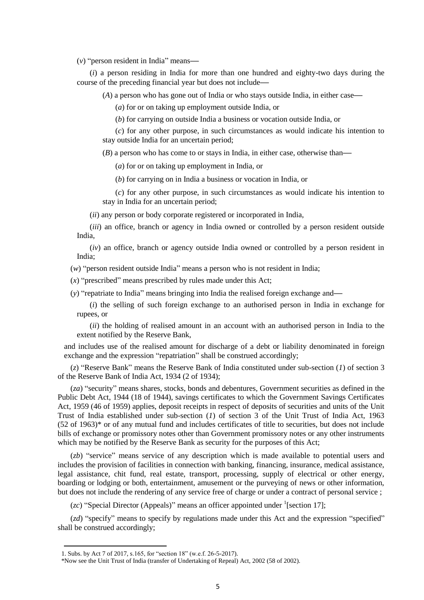(*v*) "person resident in India" means**—**

(*i*) a person residing in India for more than one hundred and eighty-two days during the course of the preceding financial year but does not include**—**

(*A*) a person who has gone out of India or who stays outside India, in either case**—**

(*a*) for or on taking up employment outside India, or

(*b*) for carrying on outside India a business or vocation outside India, or

(*c*) for any other purpose, in such circumstances as would indicate his intention to stay outside India for an uncertain period;

(*B*) a person who has come to or stays in India, in either case, otherwise than**—**

(*a*) for or on taking up employment in India, or

(*b*) for carrying on in India a business or vocation in India, or

(*c*) for any other purpose, in such circumstances as would indicate his intention to stay in India for an uncertain period;

(*ii*) any person or body corporate registered or incorporated in India,

(*iii*) an office, branch or agency in India owned or controlled by a person resident outside India,

(*iv*) an office, branch or agency outside India owned or controlled by a person resident in India;

(*w*) "person resident outside India" means a person who is not resident in India;

(*x*) "prescribed" means prescribed by rules made under this Act;

(*y*) "repatriate to India" means bringing into India the realised foreign exchange and**—**

(*i*) the selling of such foreign exchange to an authorised person in India in exchange for rupees, or

(*ii*) the holding of realised amount in an account with an authorised person in India to the extent notified by the Reserve Bank,

and includes use of the realised amount for discharge of a debt or liability denominated in foreign exchange and the expression "repatriation" shall be construed accordingly;

(*z*) "Reserve Bank" means the Reserve Bank of India constituted under sub-section (*1*) of section 3 of the Reserve Bank of India Act, 1934 (2 of 1934);

(*za*) "security" means shares, stocks, bonds and debentures, Government securities as defined in the Public Debt Act, 1944 (18 of 1944), savings certificates to which the Government Savings Certificates Act, 1959 (46 of 1959) applies, deposit receipts in respect of deposits of securities and units of the Unit Trust of India established under sub-section (*1*) of section 3 of the Unit Trust of India Act, 1963 (52 of 1963)\* or of any mutual fund and includes certificates of title to securities, but does not include bills of exchange or promissory notes other than Government promissory notes or any other instruments which may be notified by the Reserve Bank as security for the purposes of this Act;

(*zb*) "service" means service of any description which is made available to potential users and includes the provision of facilities in connection with banking, financing, insurance, medical assistance, legal assistance, chit fund, real estate, transport, processing, supply of electrical or other energy, boarding or lodging or both, entertainment, amusement or the purveying of news or other information, but does not include the rendering of any service free of charge or under a contract of personal service ;

 $(zc)$  "Special Director (Appeals)" means an officer appointed under <sup>1</sup>[section 17];

(*zd*) "specify" means to specify by regulations made under this Act and the expression "specified" shall be construed accordingly;

<sup>1.</sup> Subs. by Act 7 of 2017, s.165, for "section 18" (w.e.f. 26-5-2017).

<sup>\*</sup>Now see the Unit Trust of India (transfer of Undertaking of Repeal) Act, 2002 (58 of 2002).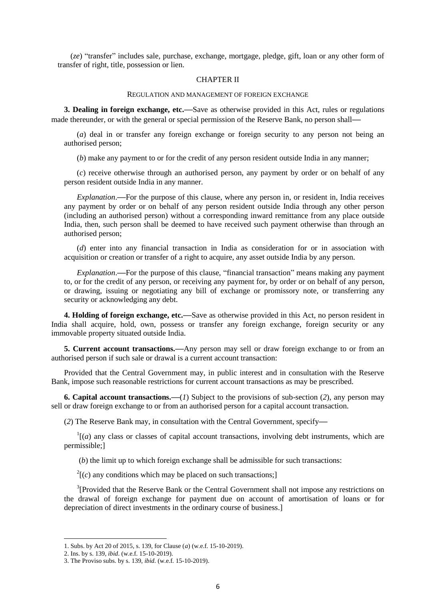(*ze*) "transfer" includes sale, purchase, exchange, mortgage, pledge, gift, loan or any other form of transfer of right, title, possession or lien.

### CHAPTER II

### REGULATION AND MANAGEMENT OF FOREIGN EXCHANGE

**3. Dealing in foreign exchange, etc.—**Save as otherwise provided in this Act, rules or regulations made thereunder, or with the general or special permission of the Reserve Bank, no person shall**—**

(*a*) deal in or transfer any foreign exchange or foreign security to any person not being an authorised person;

(*b*) make any payment to or for the credit of any person resident outside India in any manner;

(*c*) receive otherwise through an authorised person, any payment by order or on behalf of any person resident outside India in any manner.

*Explanation*.**—**For the purpose of this clause, where any person in, or resident in, India receives any payment by order or on behalf of any person resident outside India through any other person (including an authorised person) without a corresponding inward remittance from any place outside India, then, such person shall be deemed to have received such payment otherwise than through an authorised person;

(*d*) enter into any financial transaction in India as consideration for or in association with acquisition or creation or transfer of a right to acquire, any asset outside India by any person.

*Explanation*.**—**For the purpose of this clause, "financial transaction" means making any payment to, or for the credit of any person, or receiving any payment for, by order or on behalf of any person, or drawing, issuing or negotiating any bill of exchange or promissory note, or transferring any security or acknowledging any debt.

**4. Holding of foreign exchange, etc.—**Save as otherwise provided in this Act, no person resident in India shall acquire, hold, own, possess or transfer any foreign exchange, foreign security or any immovable property situated outside India.

**5. Current account transactions.—**Any person may sell or draw foreign exchange to or from an authorised person if such sale or drawal is a current account transaction:

Provided that the Central Government may, in public interest and in consultation with the Reserve Bank, impose such reasonable restrictions for current account transactions as may be prescribed.

**6. Capital account transactions.—**(*1*) Subject to the provisions of sub-section (*2*), any person may sell or draw foreign exchange to or from an authorised person for a capital account transaction.

(*2*) The Reserve Bank may, in consultation with the Central Government, specify**—**

 $\Gamma$ <sup>1</sup>[(*a*) any class or classes of capital account transactions, involving debt instruments, which are permissible;]

(*b*) the limit up to which foreign exchange shall be admissible for such transactions:

 $2[(c)$  any conditions which may be placed on such transactions;

 $3$ [Provided that the Reserve Bank or the Central Government shall not impose any restrictions on the drawal of foreign exchange for payment due on account of amortisation of loans or for depreciation of direct investments in the ordinary course of business.]

<sup>1.</sup> Subs. by Act 20 of 2015, s. 139, for Clause (*a*) (w.e.f. 15-10-2019).

<sup>2.</sup> Ins. by s. 139, *ibid*. (w.e.f. 15-10-2019).

<sup>3.</sup> The Proviso subs. by s. 139, *ibid*. (w.e.f. 15-10-2019).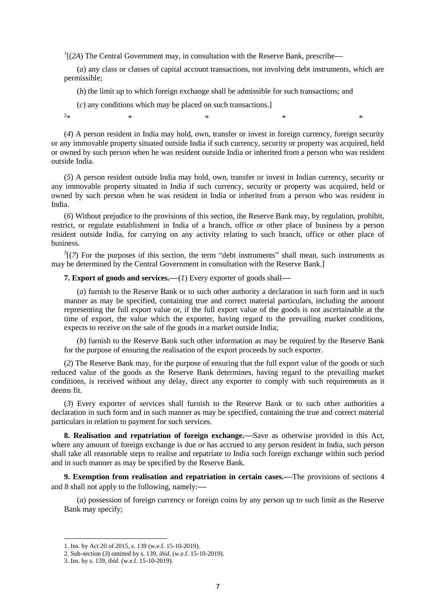<sup>1</sup>[(2A) The Central Government may, in consultation with the Reserve Bank, prescribe—

(*a*) any class or classes of capital account transactions, not involving debt instruments, which are permissible;

(*b*) the limit up to which foreign exchange shall be admissible for such transactions; and

(*c*) any conditions which may be placed on such transactions.]

 $2*$  $*$   $*$   $*$   $*$   $*$   $*$ 

(*4*) A person resident in India may hold, own, transfer or invest in foreign currency, foreign security or any immovable property situated outside India if such currency, security or property was acquired, held or owned by such person when he was resident outside India or inherited from a person who was resident outside India.

(*5*) A person resident outside India may hold, own, transfer or invest in Indian currency, security or any immovable property situated in India if such currency, security or property was acquired, held or owned by such person when he was resident in India or inherited from a person who was resident in India.

(*6*) Without prejudice to the provisions of this section, the Reserve Bank may, by regulation, prohibit, restrict, or regulate establishment in India of a branch, office or other place of business by a person resident outside India, for carrying on any activity relating to such branch, office or other place of business.

 $3(7)$  For the purposes of this section, the term "debt instruments" shall mean, such instruments as may be determined by the Central Government in consultation with the Reserve Bank.]

**7. Export of goods and services.—**(*1*) Every exporter of goods shall**—**

(*a*) furnish to the Reserve Bank or to such other authority a declaration in such form and in such manner as may be specified, containing true and correct material particulars, including the amount representing the full export value or, if the full export value of the goods is not ascertainable at the time of export, the value which the exporter, having regard to the prevailing market conditions, expects to receive on the sale of the goods in a market outside India;

(*b*) furnish to the Reserve Bank such other information as may be required by the Reserve Bank for the purpose of ensuring the realisation of the export proceeds by such exporter.

(*2*) The Reserve Bank may, for the purpose of ensuring that the full export value of the goods or such reduced value of the goods as the Reserve Bank determines, having regard to the prevailing market conditions, is received without any delay, direct any exporter to comply with such requirements as it deems fit.

(*3*) Every exporter of services shall furnish to the Reserve Bank or to such other authorities a declaration in such form and in such manner as may be specified, containing the true and correct material particulars in relation to payment for such services.

**8. Realisation and repatriation of foreign exchange.—**Save as otherwise provided in this Act, where any amount of foreign exchange is due or has accrued to any person resident in India, such person shall take all reasonable steps to realise and repatriate to India such foreign exchange within such period and in such manner as may be specified by the Reserve Bank.

**9. Exemption from realisation and repatriation in certain cases.—**The provisions of sections 4 and 8 shall not apply to the following, namely:**—**

(*a*) possession of foreign currency or foreign coins by any person up to such limit as the Reserve Bank may specify;

<sup>1.</sup> Ins. by Act 20 of 2015, s. 139 (w.e.f. 15-10-2019).

<sup>2.</sup> Sub-section (*3*) omitted by s. 139, *ibid*. (w.e.f. 15-10-2019).

<sup>3.</sup> Ins. by s. 139, *ibid*. (w.e.f. 15-10-2019).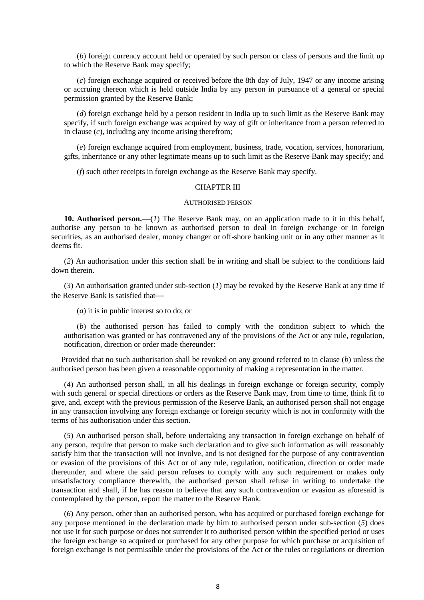(*b*) foreign currency account held or operated by such person or class of persons and the limit up to which the Reserve Bank may specify;

(*c*) foreign exchange acquired or received before the 8th day of July, 1947 or any income arising or accruing thereon which is held outside India by any person in pursuance of a general or special permission granted by the Reserve Bank;

(*d*) foreign exchange held by a person resident in India up to such limit as the Reserve Bank may specify, if such foreign exchange was acquired by way of gift or inheritance from a person referred to in clause (*c*), including any income arising therefrom;

(*e*) foreign exchange acquired from employment, business, trade, vocation, services, honorarium, gifts, inheritance or any other legitimate means up to such limit as the Reserve Bank may specify; and

(*f*) such other receipts in foreign exchange as the Reserve Bank may specify.

# CHAPTER III

### AUTHORISED PERSON

**10. Authorised person.—**(*1*) The Reserve Bank may, on an application made to it in this behalf, authorise any person to be known as authorised person to deal in foreign exchange or in foreign securities, as an authorised dealer, money changer or off-shore banking unit or in any other manner as it deems fit.

(*2*) An authorisation under this section shall be in writing and shall be subject to the conditions laid down therein.

(*3*) An authorisation granted under sub-section (*1*) may be revoked by the Reserve Bank at any time if the Reserve Bank is satisfied that**—**

(*a*) it is in public interest so to do; or

(*b*) the authorised person has failed to comply with the condition subject to which the authorisation was granted or has contravened any of the provisions of the Act or any rule, regulation, notification, direction or order made thereunder:

Provided that no such authorisation shall be revoked on any ground referred to in clause (*b*) unless the authorised person has been given a reasonable opportunity of making a representation in the matter.

(*4*) An authorised person shall, in all his dealings in foreign exchange or foreign security, comply with such general or special directions or orders as the Reserve Bank may, from time to time, think fit to give, and, except with the previous permission of the Reserve Bank, an authorised person shall not engage in any transaction involving any foreign exchange or foreign security which is not in conformity with the terms of his authorisation under this section.

(*5*) An authorised person shall, before undertaking any transaction in foreign exchange on behalf of any person, require that person to make such declaration and to give such information as will reasonably satisfy him that the transaction will not involve, and is not designed for the purpose of any contravention or evasion of the provisions of this Act or of any rule, regulation, notification, direction or order made thereunder, and where the said person refuses to comply with any such requirement or makes only unsatisfactory compliance therewith, the authorised person shall refuse in writing to undertake the transaction and shall, if he has reason to believe that any such contravention or evasion as aforesaid is contemplated by the person, report the matter to the Reserve Bank.

(*6*) Any person, other than an authorised person, who has acquired or purchased foreign exchange for any purpose mentioned in the declaration made by him to authorised person under sub-section (*5*) does not use it for such purpose or does not surrender it to authorised person within the specified period or uses the foreign exchange so acquired or purchased for any other purpose for which purchase or acquisition of foreign exchange is not permissible under the provisions of the Act or the rules or regulations or direction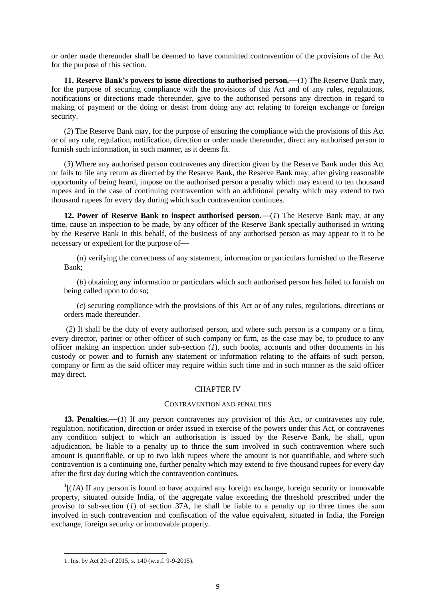or order made thereunder shall be deemed to have committed contravention of the provisions of the Act for the purpose of this section.

**11. Reserve Bank's powers to issue directions to authorised person.—**(*1*) The Reserve Bank may, for the purpose of securing compliance with the provisions of this Act and of any rules, regulations, notifications or directions made thereunder, give to the authorised persons any direction in regard to making of payment or the doing or desist from doing any act relating to foreign exchange or foreign security.

(*2*) The Reserve Bank may, for the purpose of ensuring the compliance with the provisions of this Act or of any rule, regulation, notification, direction or order made thereunder, direct any authorised person to furnish such information, in such manner, as it deems fit.

(*3*) Where any authorised person contravenes any direction given by the Reserve Bank under this Act or fails to file any return as directed by the Reserve Bank, the Reserve Bank may, after giving reasonable opportunity of being heard, impose on the authorised person a penalty which may extend to ten thousand rupees and in the case of continuing contravention with an additional penalty which may extend to two thousand rupees for every day during which such contravention continues.

**12. Power of Reserve Bank to inspect authorised person**.**—**(*1*) The Reserve Bank may, at any time, cause an inspection to be made, by any officer of the Reserve Bank specially authorised in writing by the Reserve Bank in this behalf, of the business of any authorised person as may appear to it to be necessary or expedient for the purpose of**—**

(*a*) verifying the correctness of any statement, information or particulars furnished to the Reserve Bank;

(*b*) obtaining any information or particulars which such authorised person has failed to furnish on being called upon to do so;

(*c*) securing compliance with the provisions of this Act or of any rules, regulations, directions or orders made thereunder.

(*2*) It shall be the duty of every authorised person, and where such person is a company or a firm, every director, partner or other officer of such company or firm, as the case may be, to produce to any officer making an inspection under sub-section (*1*), such books, accounts and other documents in his custody or power and to furnish any statement or information relating to the affairs of such person, company or firm as the said officer may require within such time and in such manner as the said officer may direct.

# CHAPTER IV

# CONTRAVENTION AND PENALTIES

**13. Penalties.—**(*1*) If any person contravenes any provision of this Act, or contravenes any rule, regulation, notification, direction or order issued in exercise of the powers under this Act, or contravenes any condition subject to which an authorisation is issued by the Reserve Bank, he shall, upon adjudication, be liable to a penalty up to thrice the sum involved in such contravention where such amount is quantifiable, or up to two lakh rupees where the amount is not quantifiable, and where such contravention is a continuing one, further penalty which may extend to five thousand rupees for every day after the first day during which the contravention continues.

 $<sup>1</sup>$ [(*1A*) If any person is found to have acquired any foreign exchange, foreign security or immovable</sup> property, situated outside India, of the aggregate value exceeding the threshold prescribed under the proviso to sub-section (*1*) of section 37A, he shall be liable to a penalty up to three times the sum involved in such contravention and confiscation of the value equivalent, situated in India, the Foreign exchange, foreign security or immovable property.

<sup>1.</sup> Ins. by Act 20 of 2015, s. 140 (w.e.f. 9-9-2015).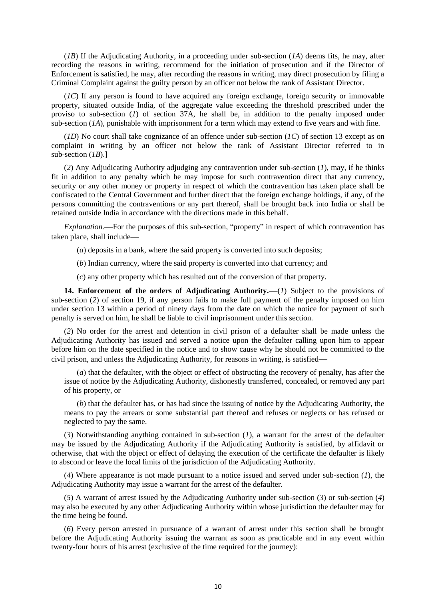(*1B*) If the Adjudicating Authority, in a proceeding under sub-section (*1A*) deems fits, he may, after recording the reasons in writing, recommend for the initiation of prosecution and if the Director of Enforcement is satisfied, he may, after recording the reasons in writing, may direct prosecution by filing a Criminal Complaint against the guilty person by an officer not below the rank of Assistant Director.

(*1C*) If any person is found to have acquired any foreign exchange, foreign security or immovable property, situated outside India, of the aggregate value exceeding the threshold prescribed under the proviso to sub-section (*1*) of section 37A, he shall be, in addition to the penalty imposed under sub-section (*1A*), punishable with imprisonment for a term which may extend to five years and with fine.

(*1D*) No court shall take cognizance of an offence under sub-section (*1C*) of section 13 except as on complaint in writing by an officer not below the rank of Assistant Director referred to in sub-section (*1B*).]

(*2*) Any Adjudicating Authority adjudging any contravention under sub-section (*1*), may, if he thinks fit in addition to any penalty which he may impose for such contravention direct that any currency, security or any other money or property in respect of which the contravention has taken place shall be confiscated to the Central Government and further direct that the foreign exchange holdings, if any, of the persons committing the contraventions or any part thereof, shall be brought back into India or shall be retained outside India in accordance with the directions made in this behalf.

*Explanation.***—**For the purposes of this sub-section, "property" in respect of which contravention has taken place, shall include**—**

- (*a*) deposits in a bank, where the said property is converted into such deposits;
- (*b*) Indian currency, where the said property is converted into that currency; and
- (*c*) any other property which has resulted out of the conversion of that property.

**14. Enforcement of the orders of Adjudicating Authority.—**(*1*) Subject to the provisions of sub-section (*2*) of section 19, if any person fails to make full payment of the penalty imposed on him under section 13 within a period of ninety days from the date on which the notice for payment of such penalty is served on him, he shall be liable to civil imprisonment under this section.

(*2*) No order for the arrest and detention in civil prison of a defaulter shall be made unless the Adjudicating Authority has issued and served a notice upon the defaulter calling upon him to appear before him on the date specified in the notice and to show cause why he should not be committed to the civil prison, and unless the Adjudicating Authority, for reasons in writing, is satisfied**—**

(*a*) that the defaulter, with the object or effect of obstructing the recovery of penalty, has after the issue of notice by the Adjudicating Authority, dishonestly transferred, concealed, or removed any part of his property, or

(*b*) that the defaulter has, or has had since the issuing of notice by the Adjudicating Authority, the means to pay the arrears or some substantial part thereof and refuses or neglects or has refused or neglected to pay the same.

(*3*) Notwithstanding anything contained in sub-section (*1*), a warrant for the arrest of the defaulter may be issued by the Adjudicating Authority if the Adjudicating Authority is satisfied, by affidavit or otherwise, that with the object or effect of delaying the execution of the certificate the defaulter is likely to abscond or leave the local limits of the jurisdiction of the Adjudicating Authority.

(*4*) Where appearance is not made pursuant to a notice issued and served under sub-section (*1*), the Adjudicating Authority may issue a warrant for the arrest of the defaulter.

(*5*) A warrant of arrest issued by the Adjudicating Authority under sub-section (*3*) or sub-section (*4*) may also be executed by any other Adjudicating Authority within whose jurisdiction the defaulter may for the time being be found.

(*6*) Every person arrested in pursuance of a warrant of arrest under this section shall be brought before the Adjudicating Authority issuing the warrant as soon as practicable and in any event within twenty-four hours of his arrest (exclusive of the time required for the journey):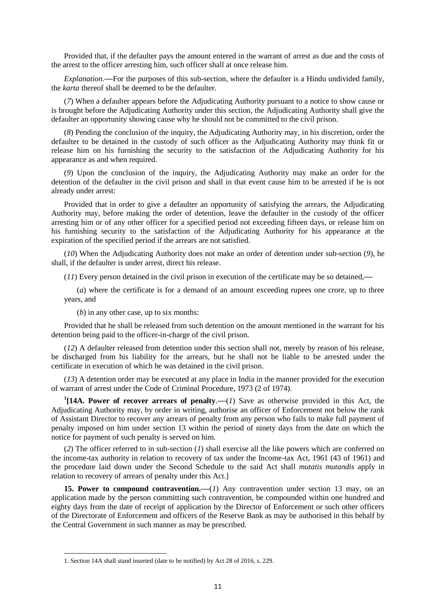Provided that, if the defaulter pays the amount entered in the warrant of arrest as due and the costs of the arrest to the officer arresting him, such officer shall at once release him.

*Explanation.—*For the purposes of this sub-section, where the defaulter is a Hindu undivided family, the *karta* thereof shall be deemed to be the defaulter.

(*7*) When a defaulter appears before the Adjudicating Authority pursuant to a notice to show cause or is brought before the Adjudicating Authority under this section, the Adjudicating Authority shall give the defaulter an opportunity showing cause why he should not be committed to the civil prison.

(*8*) Pending the conclusion of the inquiry, the Adjudicating Authority may, in his discretion, order the defaulter to be detained in the custody of such officer as the Adjudicating Authority may think fit or release him on his furnishing the security to the satisfaction of the Adjudicating Authority for his appearance as and when required.

(*9*) Upon the conclusion of the inquiry, the Adjudicating Authority may make an order for the detention of the defaulter in the civil prison and shall in that event cause him to be arrested if he is not already under arrest:

Provided that in order to give a defaulter an opportunity of satisfying the arrears, the Adjudicating Authority may, before making the order of detention, leave the defaulter in the custody of the officer arresting him or of any other officer for a specified period not exceeding fifteen days, or release him on his furnishing security to the satisfaction of the Adjudicating Authority for his appearance at the expiration of the specified period if the arrears are not satisfied.

(*10*) When the Adjudicating Authority does not make an order of detention under sub-section (*9*), he shall, if the defaulter is under arrest, direct his release.

(*11*) Every person detained in the civil prison in execution of the certificate may be so detained,**—**

(*a*) where the certificate is for a demand of an amount exceeding rupees one crore, up to three years, and

(*b*) in any other case, up to six months:

Provided that he shall be released from such detention on the amount mentioned in the warrant for his detention being paid to the officer-in-charge of the civil prison.

(*12*) A defaulter released from detention under this section shall not, merely by reason of his release, be discharged from his liability for the arrears, but he shall not be liable to be arrested under the certificate in execution of which he was detained in the civil prison.

(*13*) A detention order may be executed at any place in India in the manner provided for the execution of warrant of arrest under the Code of Criminal Procedure, 1973 (2 of 1974).

<sup>1</sup>[14A. Power of recover arrears of penalty.—(*1*) Save as otherwise provided in this Act, the Adjudicating Authority may, by order in writing, authorise an officer of Enforcement not below the rank of Assistant Director to recover any arrears of penalty from any person who fails to make full payment of penalty imposed on him under section 13 within the period of ninety days from the date on which the notice for payment of such penalty is served on him.

(*2*) The officer referred to in sub-section (*1*) shall exercise all the like powers which are conferred on the income-tax authority in relation to recovery of tax under the Income-tax Act, 1961 (43 of 1961) and the procedure laid down under the Second Schedule to the said Act shall *mutatis mutandis* apply in relation to recovery of arrears of penalty under this Act.]

**15. Power to compound contravention.** (*1*) Any contravention under section 13 may, on an application made by the person committing such contravention, be compounded within one hundred and eighty days from the date of receipt of application by the Director of Enforcement or such other officers of the Directorate of Enforcement and officers of the Reserve Bank as may be authorised in this behalf by the Central Government in such manner as may be prescribed.

<sup>1.</sup> Section 14A shall stand inserted (date to be notified) by Act 28 of 2016, s. 229.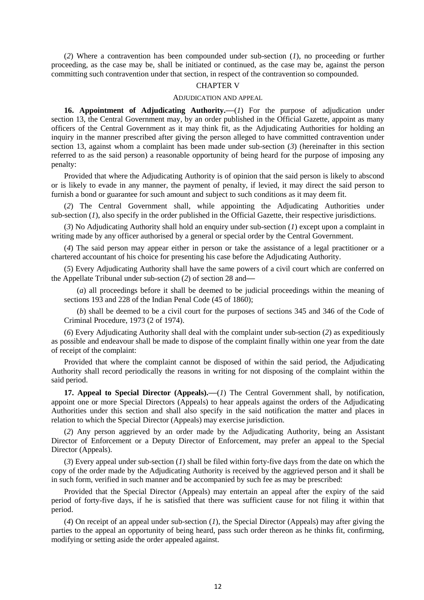(*2*) Where a contravention has been compounded under sub-section (*1*), no proceeding or further proceeding, as the case may be, shall be initiated or continued, as the case may be, against the person committing such contravention under that section, in respect of the contravention so compounded.

#### CHAPTER V

#### ADJUDICATION AND APPEAL

**16. Appointment of Adjudicating Authority.—**(*1*) For the purpose of adjudication under section 13, the Central Government may, by an order published in the Official Gazette, appoint as many officers of the Central Government as it may think fit, as the Adjudicating Authorities for holding an inquiry in the manner prescribed after giving the person alleged to have committed contravention under section 13, against whom a complaint has been made under sub-section (*3*) (hereinafter in this section referred to as the said person) a reasonable opportunity of being heard for the purpose of imposing any penalty:

Provided that where the Adjudicating Authority is of opinion that the said person is likely to abscond or is likely to evade in any manner, the payment of penalty, if levied, it may direct the said person to furnish a bond or guarantee for such amount and subject to such conditions as it may deem fit.

(*2*) The Central Government shall, while appointing the Adjudicating Authorities under sub-section (*1*), also specify in the order published in the Official Gazette, their respective jurisdictions.

(*3*) No Adjudicating Authority shall hold an enquiry under sub-section (*1*) except upon a complaint in writing made by any officer authorised by a general or special order by the Central Government.

(*4*) The said person may appear either in person or take the assistance of a legal practitioner or a chartered accountant of his choice for presenting his case before the Adjudicating Authority.

(*5*) Every Adjudicating Authority shall have the same powers of a civil court which are conferred on the Appellate Tribunal under sub-section (*2*) of section 28 and**—**

(*a*) all proceedings before it shall be deemed to be judicial proceedings within the meaning of sections 193 and 228 of the Indian Penal Code (45 of 1860);

(*b*) shall be deemed to be a civil court for the purposes of sections 345 and 346 of the Code of Criminal Procedure, 1973 (2 of 1974).

(*6*) Every Adjudicating Authority shall deal with the complaint under sub-section (*2*) as expeditiously as possible and endeavour shall be made to dispose of the complaint finally within one year from the date of receipt of the complaint:

Provided that where the complaint cannot be disposed of within the said period, the Adjudicating Authority shall record periodically the reasons in writing for not disposing of the complaint within the said period.

**17. Appeal to Special Director (Appeals).—(1) The Central Government shall, by notification,** appoint one or more Special Directors (Appeals) to hear appeals against the orders of the Adjudicating Authorities under this section and shall also specify in the said notification the matter and places in relation to which the Special Director (Appeals) may exercise jurisdiction.

(*2*) Any person aggrieved by an order made by the Adjudicating Authority, being an Assistant Director of Enforcement or a Deputy Director of Enforcement, may prefer an appeal to the Special Director (Appeals).

(*3*) Every appeal under sub-section (*1*) shall be filed within forty-five days from the date on which the copy of the order made by the Adjudicating Authority is received by the aggrieved person and it shall be in such form, verified in such manner and be accompanied by such fee as may be prescribed:

Provided that the Special Director (Appeals) may entertain an appeal after the expiry of the said period of forty-five days, if he is satisfied that there was sufficient cause for not filing it within that period.

(*4*) On receipt of an appeal under sub-section (*1*), the Special Director (Appeals) may after giving the parties to the appeal an opportunity of being heard, pass such order thereon as he thinks fit, confirming, modifying or setting aside the order appealed against.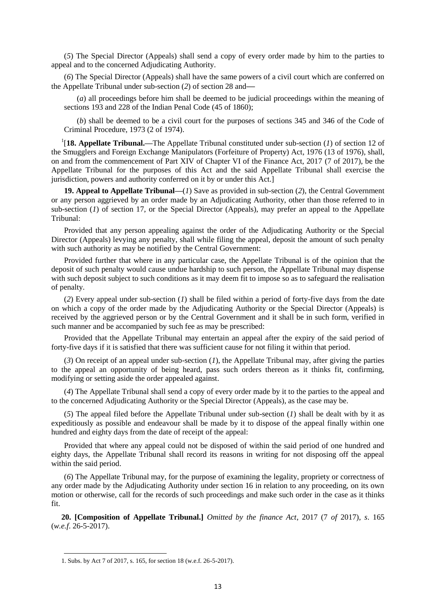(*5*) The Special Director (Appeals) shall send a copy of every order made by him to the parties to appeal and to the concerned Adjudicating Authority.

(*6*) The Special Director (Appeals) shall have the same powers of a civil court which are conferred on the Appellate Tribunal under sub-section (*2*) of section 28 and**—**

(*a*) all proceedings before him shall be deemed to be judicial proceedings within the meaning of sections 193 and 228 of the Indian Penal Code (45 of 1860);

(*b*) shall be deemed to be a civil court for the purposes of sections 345 and 346 of the Code of Criminal Procedure, 1973 (2 of 1974).

<sup>1</sup>[18. Appellate Tribunal.—The Appellate Tribunal constituted under sub-section (1) of section 12 of the Smugglers and Foreign Exchange Manipulators (Forfeiture of Property) Act, 1976 (13 of 1976), shall, on and from the commencement of Part XIV of Chapter VI of the Finance Act, 2017 (7 of 2017), be the Appellate Tribunal for the purposes of this Act and the said Appellate Tribunal shall exercise the jurisdiction, powers and authority conferred on it by or under this Act.

**19. Appeal to Appellate Tribunal—**(*1*) Save as provided in sub-section (*2*), the Central Government or any person aggrieved by an order made by an Adjudicating Authority, other than those referred to in sub-section (*I*) of section 17, or the Special Director (Appeals), may prefer an appeal to the Appellate Tribunal:

Provided that any person appealing against the order of the Adjudicating Authority or the Special Director (Appeals) levying any penalty, shall while filing the appeal, deposit the amount of such penalty with such authority as may be notified by the Central Government:

Provided further that where in any particular case, the Appellate Tribunal is of the opinion that the deposit of such penalty would cause undue hardship to such person, the Appellate Tribunal may dispense with such deposit subject to such conditions as it may deem fit to impose so as to safeguard the realisation of penalty.

(*2*) Every appeal under sub-section (*1*) shall be filed within a period of forty-five days from the date on which a copy of the order made by the Adjudicating Authority or the Special Director (Appeals) is received by the aggrieved person or by the Central Government and it shall be in such form, verified in such manner and be accompanied by such fee as may be prescribed:

Provided that the Appellate Tribunal may entertain an appeal after the expiry of the said period of forty-five days if it is satisfied that there was sufficient cause for not filing it within that period.

(*3*) On receipt of an appeal under sub-section (*1*), the Appellate Tribunal may, after giving the parties to the appeal an opportunity of being heard, pass such orders thereon as it thinks fit, confirming, modifying or setting aside the order appealed against.

(*4*) The Appellate Tribunal shall send a copy of every order made by it to the parties to the appeal and to the concerned Adjudicating Authority or the Special Director (Appeals), as the case may be.

(*5*) The appeal filed before the Appellate Tribunal under sub-section (*1*) shall be dealt with by it as expeditiously as possible and endeavour shall be made by it to dispose of the appeal finally within one hundred and eighty days from the date of receipt of the appeal:

Provided that where any appeal could not be disposed of within the said period of one hundred and eighty days, the Appellate Tribunal shall record its reasons in writing for not disposing off the appeal within the said period.

(*6*) The Appellate Tribunal may, for the purpose of examining the legality, propriety or correctness of any order made by the Adjudicating Authority under section 16 in relation to any proceeding, on its own motion or otherwise, call for the records of such proceedings and make such order in the case as it thinks fit.

**20. [Composition of Appellate Tribunal.]** *Omitted by the finance Act*, 2017 (7 *of* 2017), *s*. 165 (*w.e.f*. 26-5-2017).

<sup>1.</sup> Subs. by Act 7 of 2017, s. 165, for section 18 (w.e.f. 26-5-2017).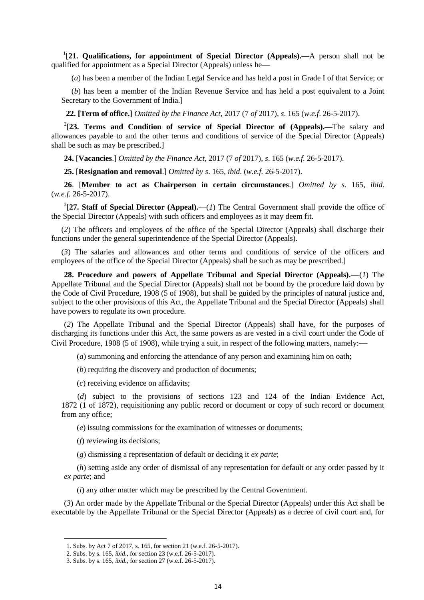1 [**21. Qualifications, for appointment of Special Director (Appeals).—**A person shall not be qualified for appointment as a Special Director (Appeals) unless he—

(*a*) has been a member of the Indian Legal Service and has held a post in Grade I of that Service; or

(*b*) has been a member of the Indian Revenue Service and has held a post equivalent to a Joint Secretary to the Government of India.]

**22. [Term of office.]** *Omitted by the Finance Act*, 2017 (7 *of* 2017), *s*. 165 (*w.e.f*. 26-5-2017).

<sup>2</sup>[23. Terms and Condition of service of Special Director of (Appeals).—The salary and allowances payable to and the other terms and conditions of service of the Special Director (Appeals) shall be such as may be prescribed.]

**24.** [**Vacancies**.] *Omitted by the Finance Act*, 2017 (7 *of* 2017), *s*. 165 (*w.e.f.* 26-5-2017).

**25.** [**Resignation and removal**.] *Omitted by s*. 165, *ibid*. (*w.e.f.* 26-5-2017).

**26**. [**Member to act as Chairperson in certain circumstances**.] *Omitted by s*. 165, *ibid*. (*w.e.f.* 26-5-2017).

3 [**27. Staff of Special Director (Appeal).—**(*1*) The Central Government shall provide the office of the Special Director (Appeals) with such officers and employees as it may deem fit.

(*2*) The officers and employees of the office of the Special Director (Appeals) shall discharge their functions under the general superintendence of the Special Director (Appeals).

(*3*) The salaries and allowances and other terms and conditions of service of the officers and employees of the office of the Special Director (Appeals) shall be such as may be prescribed.]

**28. Procedure and powers of Appellate Tribunal and Special Director (Appeals).—**(*1*) The Appellate Tribunal and the Special Director (Appeals) shall not be bound by the procedure laid down by the Code of Civil Procedure, 1908 (5 of 1908), but shall be guided by the principles of natural justice and, subject to the other provisions of this Act, the Appellate Tribunal and the Special Director (Appeals) shall have powers to regulate its own procedure.

(*2*) The Appellate Tribunal and the Special Director (Appeals) shall have, for the purposes of discharging its functions under this Act, the same powers as are vested in a civil court under the Code of Civil Procedure, 1908 (5 of 1908), while trying a suit, in respect of the following matters, namely:**—**

(*a*) summoning and enforcing the attendance of any person and examining him on oath;

(*b*) requiring the discovery and production of documents;

(*c*) receiving evidence on affidavits;

 (*d*) subject to the provisions of sections 123 and 124 of the Indian Evidence Act, 1872 (1 of 1872), requisitioning any public record or document or copy of such record or document from any office;

(*e*) issuing commissions for the examination of witnesses or documents;

(*f*) reviewing its decisions;

**.** 

(*g*) dismissing a representation of default or deciding it *ex parte*;

(*h*) setting aside any order of dismissal of any representation for default or any order passed by it *ex parte*; and

(*i*) any other matter which may be prescribed by the Central Government.

(*3*) An order made by the Appellate Tribunal or the Special Director (Appeals) under this Act shall be executable by the Appellate Tribunal or the Special Director (Appeals) as a decree of civil court and, for

<sup>1.</sup> Subs. by Act 7 of 2017, s. 165, for section 21 (w.e.f. 26-5-2017).

<sup>2.</sup> Subs. by s. 165, *ibid*., for section 23 (w.e.f. 26-5-2017).

<sup>3.</sup> Subs. by s. 165, *ibid.,* for section 27 (w.e.f. 26-5-2017).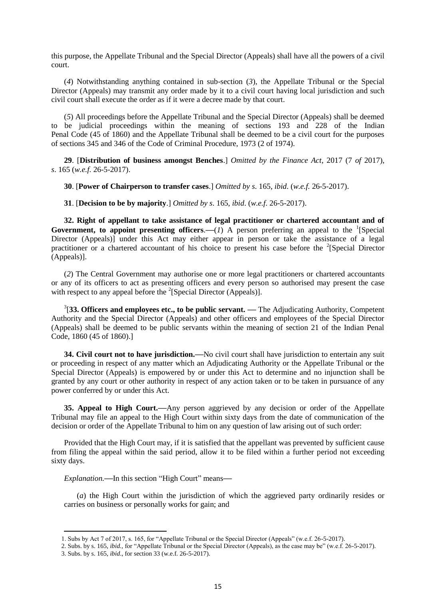this purpose, the Appellate Tribunal and the Special Director (Appeals) shall have all the powers of a civil court.

(*4*) Notwithstanding anything contained in sub-section (*3*), the Appellate Tribunal or the Special Director (Appeals) may transmit any order made by it to a civil court having local jurisdiction and such civil court shall execute the order as if it were a decree made by that court.

(*5*) All proceedings before the Appellate Tribunal and the Special Director (Appeals) shall be deemed to be judicial proceedings within the meaning of sections 193 and 228 of the Indian Penal Code (45 of 1860) and the Appellate Tribunal shall be deemed to be a civil court for the purposes of sections 345 and 346 of the Code of Criminal Procedure, 1973 (2 of 1974).

**29**. [**Distribution of business amongst Benches**.] *Omitted by the Finance Act*, 2017 (7 *of* 2017), *s*. 165 (*w.e.f.* 26-5-2017).

**30**. [**Power of Chairperson to transfer cases**.] *Omitted by s*. 165, *ibid*. (*w.e.f.* 26-5-2017).

**31**. [**Decision to be by majority**.] *Omitted by s*. 165, *ibid*. (*w.e.f.* 26-5-2017).

**32. Right of appellant to take assistance of legal practitioner or chartered accountant and of Government, to appoint presenting officers.—(1) A person preferring an appeal to the <sup>1</sup>[Special** Director (Appeals)] under this Act may either appear in person or take the assistance of a legal practitioner or a chartered accountant of his choice to present his case before the  $2$ [Special Director (Appeals)].

(*2*) The Central Government may authorise one or more legal practitioners or chartered accountants or any of its officers to act as presenting officers and every person so authorised may present the case with respect to any appeal before the  $2$ [Special Director (Appeals)].

3 [**33. Officers and employees etc., to be public servant. —** The Adjudicating Authority, Competent Authority and the Special Director (Appeals) and other officers and employees of the Special Director (Appeals) shall be deemed to be public servants within the meaning of section 21 of the Indian Penal Code, 1860 (45 of 1860).]

**34. Civil court not to have jurisdiction.—**No civil court shall have jurisdiction to entertain any suit or proceeding in respect of any matter which an Adjudicating Authority or the Appellate Tribunal or the Special Director (Appeals) is empowered by or under this Act to determine and no injunction shall be granted by any court or other authority in respect of any action taken or to be taken in pursuance of any power conferred by or under this Act.

**35. Appeal to High Court.—**Any person aggrieved by any decision or order of the Appellate Tribunal may file an appeal to the High Court within sixty days from the date of communication of the decision or order of the Appellate Tribunal to him on any question of law arising out of such order:

Provided that the High Court may, if it is satisfied that the appellant was prevented by sufficient cause from filing the appeal within the said period, allow it to be filed within a further period not exceeding sixty days.

*Explanation.***—**In this section "High Court" means**—**

 $\overline{a}$ 

(*a*) the High Court within the jurisdiction of which the aggrieved party ordinarily resides or carries on business or personally works for gain; and

<sup>1.</sup> Subs by Act 7 of 2017, s. 165, for "Appellate Tribunal or the Special Director (Appeals" (w.e.f. 26-5-2017).

<sup>2.</sup> Subs. by s. 165, *ibid.,* for "Appellate Tribunal or the Special Director (Appeals), as the case may be" (w.e.f. 26-5-2017). 3. Subs. by s. 165, *ibid*., for section 33 (w.e.f. 26-5-2017).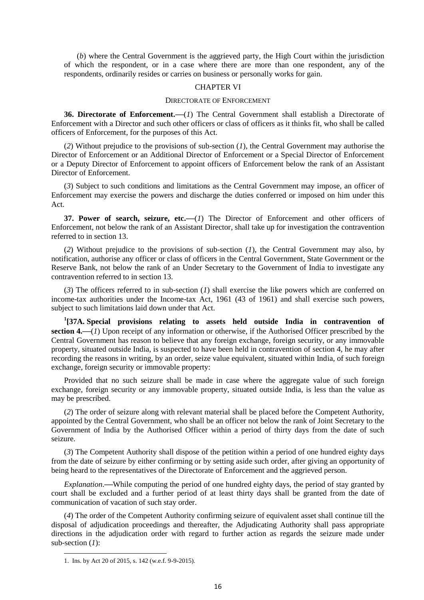(*b*) where the Central Government is the aggrieved party, the High Court within the jurisdiction of which the respondent, or in a case where there are more than one respondent, any of the respondents, ordinarily resides or carries on business or personally works for gain.

### CHAPTER VI

### DIRECTORATE OF ENFORCEMENT

**36. Directorate of Enforcement.** (*1*) The Central Government shall establish a Directorate of Enforcement with a Director and such other officers or class of officers as it thinks fit, who shall be called officers of Enforcement, for the purposes of this Act.

(*2*) Without prejudice to the provisions of sub-section (*1*), the Central Government may authorise the Director of Enforcement or an Additional Director of Enforcement or a Special Director of Enforcement or a Deputy Director of Enforcement to appoint officers of Enforcement below the rank of an Assistant Director of Enforcement.

(*3*) Subject to such conditions and limitations as the Central Government may impose, an officer of Enforcement may exercise the powers and discharge the duties conferred or imposed on him under this Act.

**37. Power of search, seizure, etc.** (*1*) The Director of Enforcement and other officers of Enforcement, not below the rank of an Assistant Director, shall take up for investigation the contravention referred to in section 13.

(*2*) Without prejudice to the provisions of sub-section (*1*), the Central Government may also, by notification, authorise any officer or class of officers in the Central Government, State Government or the Reserve Bank, not below the rank of an Under Secretary to the Government of India to investigate any contravention referred to in section 13.

(*3*) The officers referred to in sub-section (*1*) shall exercise the like powers which are conferred on income-tax authorities under the Income-tax Act, 1961 (43 of 1961) and shall exercise such powers, subject to such limitations laid down under that Act.

**1 [37A. Special provisions relating to assets held outside India in contravention of section 4.**—(*1*) Upon receipt of any information or otherwise, if the Authorised Officer prescribed by the Central Government has reason to believe that any foreign exchange, foreign security, or any immovable property, situated outside India, is suspected to have been held in contravention of section 4, he may after recording the reasons in writing, by an order, seize value equivalent, situated within India, of such foreign exchange, foreign security or immovable property:

Provided that no such seizure shall be made in case where the aggregate value of such foreign exchange, foreign security or any immovable property, situated outside India, is less than the value as may be prescribed.

(*2*) The order of seizure along with relevant material shall be placed before the Competent Authority, appointed by the Central Government, who shall be an officer not below the rank of Joint Secretary to the Government of India by the Authorised Officer within a period of thirty days from the date of such seizure.

(*3*) The Competent Authority shall dispose of the petition within a period of one hundred eighty days from the date of seizure by either confirming or by setting aside such order, after giving an opportunity of being heard to the representatives of the Directorate of Enforcement and the aggrieved person.

*Explanation*.**—**While computing the period of one hundred eighty days, the period of stay granted by court shall be excluded and a further period of at least thirty days shall be granted from the date of communication of vacation of such stay order.

(*4*) The order of the Competent Authority confirming seizure of equivalent asset shall continue till the disposal of adjudication proceedings and thereafter, the Adjudicating Authority shall pass appropriate directions in the adjudication order with regard to further action as regards the seizure made under sub-section (*1*):

<sup>1.</sup> Ins. by Act 20 of 2015, s. 142 (w.e.f. 9-9-2015).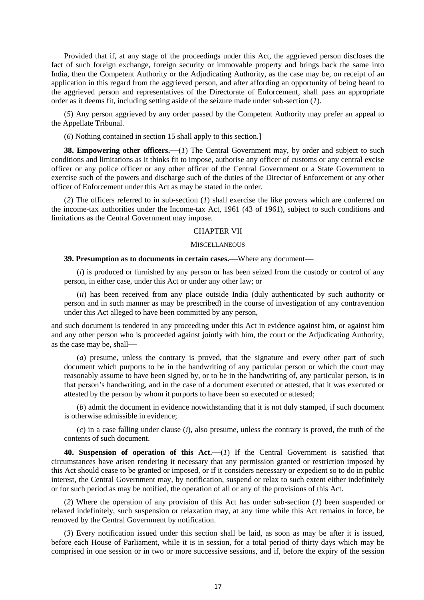Provided that if, at any stage of the proceedings under this Act, the aggrieved person discloses the fact of such foreign exchange, foreign security or immovable property and brings back the same into India, then the Competent Authority or the Adjudicating Authority, as the case may be, on receipt of an application in this regard from the aggrieved person, and after affording an opportunity of being heard to the aggrieved person and representatives of the Directorate of Enforcement, shall pass an appropriate order as it deems fit, including setting aside of the seizure made under sub-section (*1*).

(*5*) Any person aggrieved by any order passed by the Competent Authority may prefer an appeal to the Appellate Tribunal.

(*6*) Nothing contained in section 15 shall apply to this section.]

**38. Empowering other officers.—(1) The Central Government may, by order and subject to such** conditions and limitations as it thinks fit to impose, authorise any officer of customs or any central excise officer or any police officer or any other officer of the Central Government or a State Government to exercise such of the powers and discharge such of the duties of the Director of Enforcement or any other officer of Enforcement under this Act as may be stated in the order.

(*2*) The officers referred to in sub-section (*1*) shall exercise the like powers which are conferred on the income-tax authorities under the Income-tax Act, 1961 (43 of 1961), subject to such conditions and limitations as the Central Government may impose.

# CHAPTER VII

### **MISCELLANEOUS**

#### **39. Presumption as to documents in certain cases.—**Where any document**—**

(*i*) is produced or furnished by any person or has been seized from the custody or control of any person, in either case, under this Act or under any other law; or

(*ii*) has been received from any place outside India (duly authenticated by such authority or person and in such manner as may be prescribed) in the course of investigation of any contravention under this Act alleged to have been committed by any person,

and such document is tendered in any proceeding under this Act in evidence against him, or against him and any other person who is proceeded against jointly with him, the court or the Adjudicating Authority, as the case may be, shall**—**

(*a*) presume, unless the contrary is proved, that the signature and every other part of such document which purports to be in the handwriting of any particular person or which the court may reasonably assume to have been signed by, or to be in the handwriting of, any particular person, is in that person's handwriting, and in the case of a document executed or attested, that it was executed or attested by the person by whom it purports to have been so executed or attested;

(*b*) admit the document in evidence notwithstanding that it is not duly stamped, if such document is otherwise admissible in evidence;

(*c*) in a case falling under clause (*i*), also presume, unless the contrary is proved, the truth of the contents of such document.

**40. Suspension of operation of this Act.** (*1*) If the Central Government is satisfied that circumstances have arisen rendering it necessary that any permission granted or restriction imposed by this Act should cease to be granted or imposed, or if it considers necessary or expedient so to do in public interest, the Central Government may, by notification, suspend or relax to such extent either indefinitely or for such period as may be notified, the operation of all or any of the provisions of this Act.

(*2*) Where the operation of any provision of this Act has under sub-section (*1*) been suspended or relaxed indefinitely, such suspension or relaxation may, at any time while this Act remains in force, be removed by the Central Government by notification.

(*3*) Every notification issued under this section shall be laid, as soon as may be after it is issued, before each House of Parliament, while it is in session, for a total period of thirty days which may be comprised in one session or in two or more successive sessions, and if, before the expiry of the session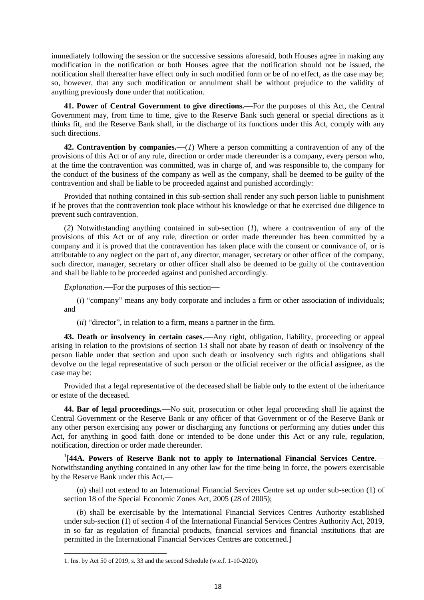immediately following the session or the successive sessions aforesaid, both Houses agree in making any modification in the notification or both Houses agree that the notification should not be issued, the notification shall thereafter have effect only in such modified form or be of no effect, as the case may be; so, however, that any such modification or annulment shall be without prejudice to the validity of anything previously done under that notification.

**41. Power of Central Government to give directions.—**For the purposes of this Act, the Central Government may, from time to time, give to the Reserve Bank such general or special directions as it thinks fit, and the Reserve Bank shall, in the discharge of its functions under this Act, comply with any such directions.

**42. Contravention by companies.—**(*1*) Where a person committing a contravention of any of the provisions of this Act or of any rule, direction or order made thereunder is a company, every person who, at the time the contravention was committed, was in charge of, and was responsible to, the company for the conduct of the business of the company as well as the company, shall be deemed to be guilty of the contravention and shall be liable to be proceeded against and punished accordingly:

Provided that nothing contained in this sub-section shall render any such person liable to punishment if he proves that the contravention took place without his knowledge or that he exercised due diligence to prevent such contravention.

(*2*) Notwithstanding anything contained in sub-section (*1*), where a contravention of any of the provisions of this Act or of any rule, direction or order made thereunder has been committed by a company and it is proved that the contravention has taken place with the consent or connivance of, or is attributable to any neglect on the part of, any director, manager, secretary or other officer of the company, such director, manager, secretary or other officer shall also be deemed to be guilty of the contravention and shall be liable to be proceeded against and punished accordingly.

*Explanation*.**—**For the purposes of this section**—**

(*i*) "company" means any body corporate and includes a firm or other association of individuals; and

(*ii*) "director", in relation to a firm, means a partner in the firm.

**43. Death or insolvency in certain cases.—**Any right, obligation, liability, proceeding or appeal arising in relation to the provisions of section 13 shall not abate by reason of death or insolvency of the person liable under that section and upon such death or insolvency such rights and obligations shall devolve on the legal representative of such person or the official receiver or the official assignee, as the case may be:

Provided that a legal representative of the deceased shall be liable only to the extent of the inheritance or estate of the deceased.

**44. Bar of legal proceedings.—**No suit, prosecution or other legal proceeding shall lie against the Central Government or the Reserve Bank or any officer of that Government or of the Reserve Bank or any other person exercising any power or discharging any functions or performing any duties under this Act, for anything in good faith done or intended to be done under this Act or any rule, regulation, notification, direction or order made thereunder.

<sup>1</sup>[44A. Powers of Reserve Bank not to apply to International Financial Services Centre.— Notwithstanding anything contained in any other law for the time being in force, the powers exercisable by the Reserve Bank under this Act,—

(*a*) shall not extend to an International Financial Services Centre set up under sub-section (1) of section 18 of the Special Economic Zones Act, 2005 (28 of 2005);

(*b*) shall be exercisable by the International Financial Services Centres Authority established under sub-section (1) of section 4 of the International Financial Services Centres Authority Act, 2019, in so far as regulation of financial products, financial services and financial institutions that are permitted in the International Financial Services Centres are concerned.]

<sup>1.</sup> Ins. by Act 50 of 2019, s. 33 and the second Schedule (w.e.f. 1-10-2020).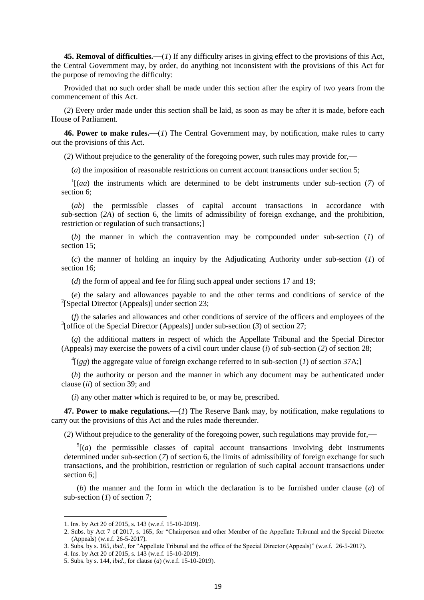**45. Removal of difficulties.—**(*1*) If any difficulty arises in giving effect to the provisions of this Act, the Central Government may, by order, do anything not inconsistent with the provisions of this Act for the purpose of removing the difficulty:

Provided that no such order shall be made under this section after the expiry of two years from the commencement of this Act.

(*2*) Every order made under this section shall be laid, as soon as may be after it is made, before each House of Parliament.

**46. Power to make rules.—**(*1*) The Central Government may, by notification, make rules to carry out the provisions of this Act.

(*2*) Without prejudice to the generality of the foregoing power, such rules may provide for,**—**

(*a*) the imposition of reasonable restrictions on current account transactions under section 5;

 $\frac{1}{a}$  (*aa*) the instruments which are determined to be debt instruments under sub-section (7) of section 6;

(*ab*) the permissible classes of capital account transactions in accordance with sub-section (*2A*) of section 6, the limits of admissibility of foreign exchange, and the prohibition, restriction or regulation of such transactions;]

(*b*) the manner in which the contravention may be compounded under sub-section (*1*) of section 15;

(*c*) the manner of holding an inquiry by the Adjudicating Authority under sub-section (*1*) of section 16;

(*d*) the form of appeal and fee for filing such appeal under sections 17 and 19;

(*e*) the salary and allowances payable to and the other terms and conditions of service of the <sup>2</sup>[Special Director (Appeals)] under section 23;

(*f*) the salaries and allowances and other conditions of service of the officers and employees of the 3 [office of the Special Director (Appeals)] under sub-section (*3*) of section 27;

(*g*) the additional matters in respect of which the Appellate Tribunal and the Special Director (Appeals) may exercise the powers of a civil court under clause (*i*) of sub-section (*2*) of section 28;

 $^{4}$ [(*gg*) the aggregate value of foreign exchange referred to in sub-section (*1*) of section 37A;]

(*h*) the authority or person and the manner in which any document may be authenticated under clause (*ii*) of section 39; and

(*i*) any other matter which is required to be, or may be, prescribed.

47. Power to make regulations.—(1) The Reserve Bank may, by notification, make regulations to carry out the provisions of this Act and the rules made thereunder.

(*2*) Without prejudice to the generality of the foregoing power, such regulations may provide for,**—**

 $5[(a)$  the permissible classes of capital account transactions involving debt instruments determined under sub-section (*7*) of section 6, the limits of admissibility of foreign exchange for such transactions, and the prohibition, restriction or regulation of such capital account transactions under section 6:1

(*b*) the manner and the form in which the declaration is to be furnished under clause (*a*) of sub-section (*1*) of section 7;

<sup>1.</sup> Ins. by Act 20 of 2015, s. 143 (w.e.f. 15-10-2019).

 <sup>2.</sup> Subs. by Act 7 of 2017, s. 165, for "Chairperson and other Member of the Appellate Tribunal and the Special Director (Appeals) (w.e.f. 26-5-2017).

 <sup>3.</sup> Subs. by s. 165, *ibid*., for "Appellate Tribunal and the office of the Special Director (Appeals)" (w.e.f. 26-5-2017).

<sup>4.</sup> Ins. by Act 20 of 2015, s. 143 (w.e.f. 15-10-2019).

<sup>5.</sup> Subs. by s. 144, *ibid*., for clause (*a*) (w.e.f. 15-10-2019).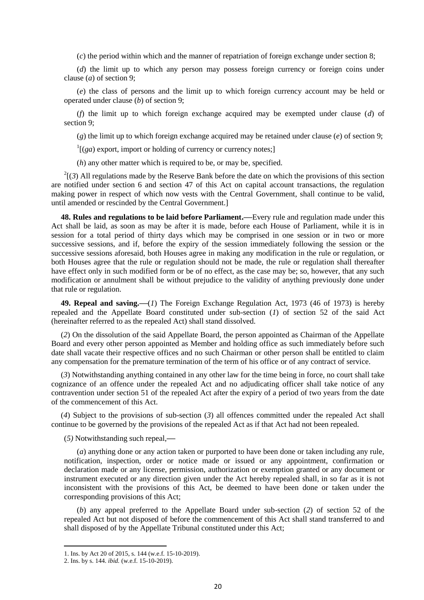(*c*) the period within which and the manner of repatriation of foreign exchange under section 8;

(*d*) the limit up to which any person may possess foreign currency or foreign coins under clause (*a*) of section 9;

(*e*) the class of persons and the limit up to which foreign currency account may be held or operated under clause (*b*) of section 9;

(*f*) the limit up to which foreign exchange acquired may be exempted under clause (*d*) of section 9;

(*g*) the limit up to which foreign exchange acquired may be retained under clause (*e*) of section 9;

 $\frac{1}{2}$  (*ga*) export, import or holding of currency or currency notes;

(*h*) any other matter which is required to be, or may be, specified.

 $2^{2}$ [(3) All regulations made by the Reserve Bank before the date on which the provisions of this section are notified under section 6 and section 47 of this Act on capital account transactions, the regulation making power in respect of which now vests with the Central Government, shall continue to be valid, until amended or rescinded by the Central Government.]

**48. Rules and regulations to be laid before Parliament.—**Every rule and regulation made under this Act shall be laid, as soon as may be after it is made, before each House of Parliament, while it is in session for a total period of thirty days which may be comprised in one session or in two or more successive sessions, and if, before the expiry of the session immediately following the session or the successive sessions aforesaid, both Houses agree in making any modification in the rule or regulation, or both Houses agree that the rule or regulation should not be made, the rule or regulation shall thereafter have effect only in such modified form or be of no effect, as the case may be; so, however, that any such modification or annulment shall be without prejudice to the validity of anything previously done under that rule or regulation.

**49. Repeal and saving.—**(*1*) The Foreign Exchange Regulation Act, 1973 (46 of 1973) is hereby repealed and the Appellate Board constituted under sub-section (*1*) of section 52 of the said Act (hereinafter referred to as the repealed Act) shall stand dissolved.

(*2*) On the dissolution of the said Appellate Board, the person appointed as Chairman of the Appellate Board and every other person appointed as Member and holding office as such immediately before such date shall vacate their respective offices and no such Chairman or other person shall be entitled to claim any compensation for the premature termination of the term of his office or of any contract of service.

(*3*) Notwithstanding anything contained in any other law for the time being in force, no court shall take cognizance of an offence under the repealed Act and no adjudicating officer shall take notice of any contravention under section 51 of the repealed Act after the expiry of a period of two years from the date of the commencement of this Act.

(*4*) Subject to the provisions of sub-section (*3*) all offences committed under the repealed Act shall continue to be governed by the provisions of the repealed Act as if that Act had not been repealed.

(*5)* Notwithstanding such repeal,**—**

(*a*) anything done or any action taken or purported to have been done or taken including any rule, notification, inspection, order or notice made or issued or any appointment, confirmation or declaration made or any license, permission, authorization or exemption granted or any document or instrument executed or any direction given under the Act hereby repealed shall, in so far as it is not inconsistent with the provisions of this Act, be deemed to have been done or taken under the corresponding provisions of this Act;

(*b*) any appeal preferred to the Appellate Board under sub-section (*2*) of section 52 of the repealed Act but not disposed of before the commencement of this Act shall stand transferred to and shall disposed of by the Appellate Tribunal constituted under this Act;

<sup>1.</sup> Ins. by Act 20 of 2015, s. 144 (w.e.f. 15-10-2019).

<sup>2.</sup> Ins. by s. 144. *ibid.* (w.e.f. 15-10-2019).